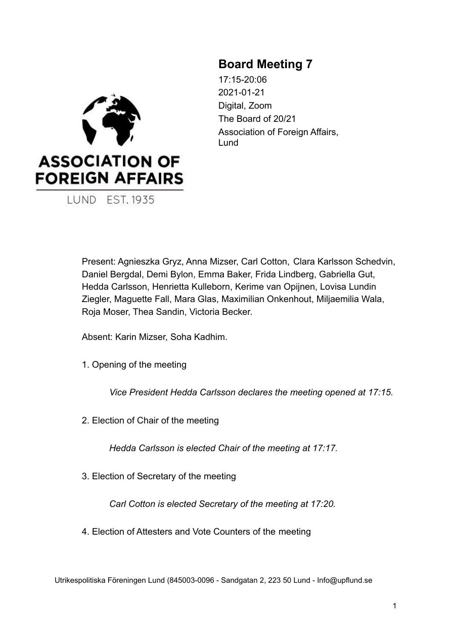

**LUND EST. 1935** 

# **Board Meeting 7**

17:15-20:06 2021-01-21 Digital, Zoom The Board of 20/21 Association of Foreign Affairs. Lund

Present: Agnieszka Gryz, Anna Mizser, Carl Cotton, Clara Karlsson Schedvin, Daniel Bergdal, Demi Bylon, Emma Baker, Frida Lindberg, Gabriella Gut, Hedda Carlsson, Henrietta Kulleborn, Kerime van Opijnen, Lovisa Lundin Ziegler, Maguette Fall, Mara Glas, Maximilian Onkenhout, Miljaemilia Wala, Roja Moser, Thea Sandin, Victoria Becker.

Absent: Karin Mizser, Soha Kadhim.

1. Opening of the meeting

*Vice President Hedda Carlsson declares the meeting opened at 17:15.*

2. Election of Chair of the meeting

*Hedda Carlsson is elected Chair of the meeting at 17:17.*

3. Election of Secretary of the meeting

*Carl Cotton is elected Secretary of the meeting at 17:20.*

4. Election of Attesters and Vote Counters of the meeting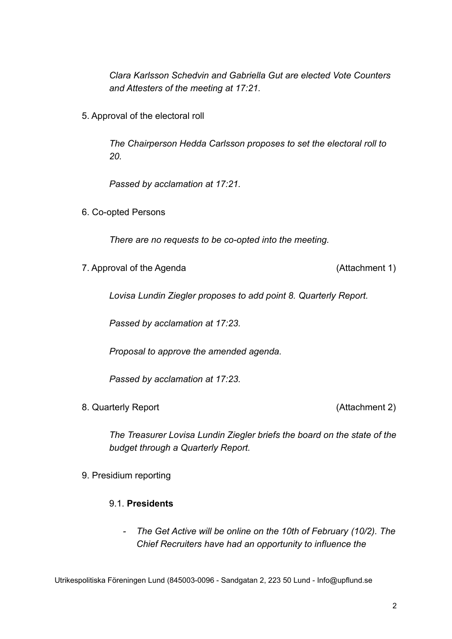*Clara Karlsson Schedvin and Gabriella Gut are elected Vote Counters and Attesters of the meeting at 17:21.*

5. Approval of the electoral roll

*The Chairperson Hedda Carlsson proposes to set the electoral roll to 20.*

*Passed by acclamation at 17:21.*

6. Co-opted Persons

*There are no requests to be co-opted into the meeting.*

7. Approval of the Agenda (Attachment 1)

*Lovisa Lundin Ziegler proposes to add point 8. Quarterly Report.*

*Passed by acclamation at 17:23.*

*Proposal to approve the amended agenda.*

*Passed by acclamation at 17:23.*

8. Quarterly Report (Attachment 2)

*The Treasurer Lovisa Lundin Ziegler briefs the board on the state of the budget through a Quarterly Report.*

9. Presidium reporting

### 9.1. **Presidents**

*- The Get Active will be online on the 10th of February (10/2). The Chief Recruiters have had an opportunity to influence the*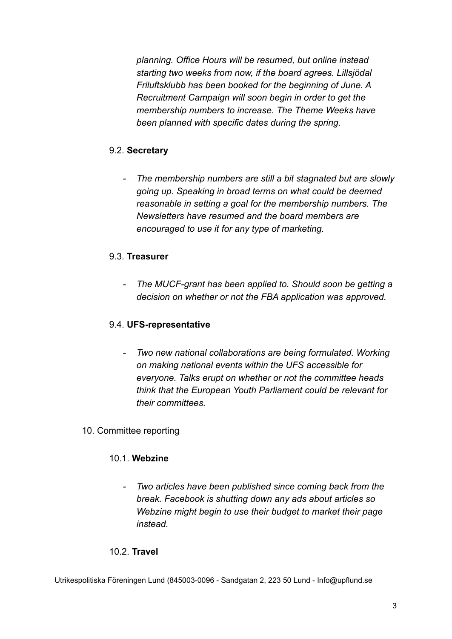*planning. Office Hours will be resumed, but online instead starting two weeks from now, if the board agrees. Lillsjödal Friluftsklubb has been booked for the beginning of June. A Recruitment Campaign will soon begin in order to get the membership numbers to increase. The Theme Weeks have been planned with specific dates during the spring.*

# 9.2. **Secretary**

*- The membership numbers are still a bit stagnated but are slowly going up. Speaking in broad terms on what could be deemed reasonable in setting a goal for the membership numbers. The Newsletters have resumed and the board members are encouraged to use it for any type of marketing.*

# 9.3. **Treasurer**

*- The MUCF-grant has been applied to. Should soon be getting a decision on whether or not the FBA application was approved.*

# 9.4. **UFS-representative**

*- Two new national collaborations are being formulated. Working on making national events within the UFS accessible for everyone. Talks erupt on whether or not the committee heads think that the European Youth Parliament could be relevant for their committees.*

# 10. Committee reporting

# 10.1. **Webzine**

*- Two articles have been published since coming back from the break. Facebook is shutting down any ads about articles so Webzine might begin to use their budget to market their page instead.*

# 10.2. **Travel**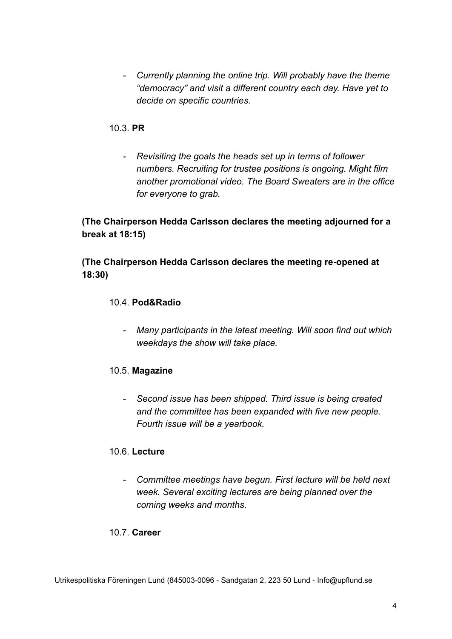*- Currently planning the online trip. Will probably have the theme "democracy" and visit a different country each day. Have yet to decide on specific countries.*

### 10.3. **PR**

*- Revisiting the goals the heads set up in terms of follower numbers. Recruiting for trustee positions is ongoing. Might film another promotional video. The Board Sweaters are in the office for everyone to grab.*

**(The Chairperson Hedda Carlsson declares the meeting adjourned for a break at 18:15)**

**(The Chairperson Hedda Carlsson declares the meeting re-opened at 18:30)**

#### 10.4. **Pod&Radio**

*- Many participants in the latest meeting. Will soon find out which weekdays the show will take place.*

# 10.5. **Magazine**

*- Second issue has been shipped. Third issue is being created and the committee has been expanded with five new people. Fourth issue will be a yearbook.*

#### 10.6. **Lecture**

*- Committee meetings have begun. First lecture will be held next week. Several exciting lectures are being planned over the coming weeks and months.*

#### 10.7. **Career**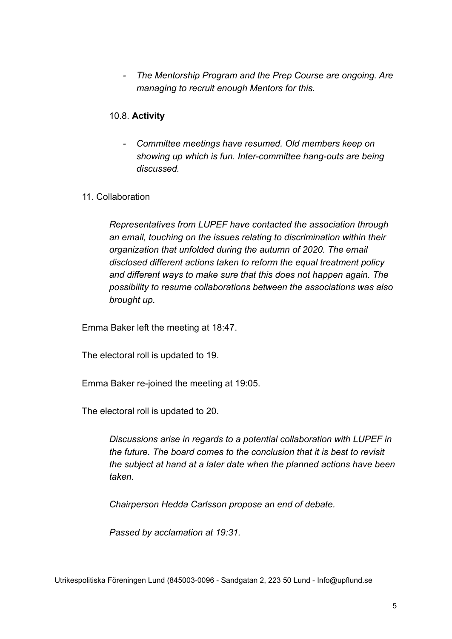*- The Mentorship Program and the Prep Course are ongoing. Are managing to recruit enough Mentors for this.*

### 10.8. **Activity**

*- Committee meetings have resumed. Old members keep on showing up which is fun. Inter-committee hang-outs are being discussed.*

#### 11. Collaboration

*Representatives from LUPEF have contacted the association through an email, touching on the issues relating to discrimination within their organization that unfolded during the autumn of 2020. The email disclosed different actions taken to reform the equal treatment policy and different ways to make sure that this does not happen again. The possibility to resume collaborations between the associations was also brought up.*

Emma Baker left the meeting at 18:47.

The electoral roll is updated to 19.

Emma Baker re-joined the meeting at 19:05.

The electoral roll is updated to 20.

*Discussions arise in regards to a potential collaboration with LUPEF in the future. The board comes to the conclusion that it is best to revisit the subject at hand at a later date when the planned actions have been taken.*

*Chairperson Hedda Carlsson propose an end of debate.*

*Passed by acclamation at 19:31.*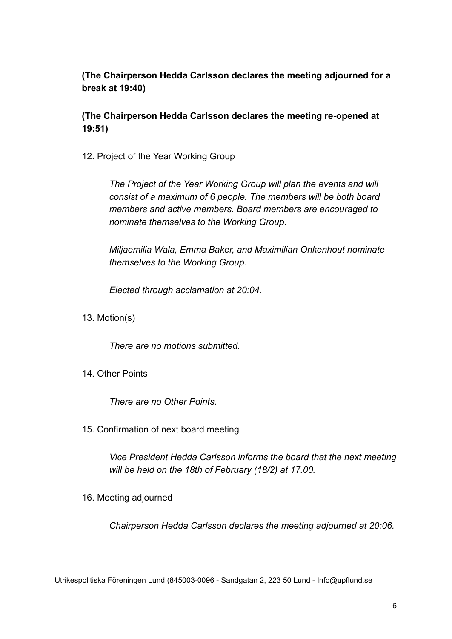# **(The Chairperson Hedda Carlsson declares the meeting adjourned for a break at 19:40)**

**(The Chairperson Hedda Carlsson declares the meeting re-opened at 19:51)**

12. Project of the Year Working Group

*The Project of the Year Working Group will plan the events and will consist of a maximum of 6 people. The members will be both board members and active members. Board members are encouraged to nominate themselves to the Working Group.*

*Miljaemilia Wala, Emma Baker, and Maximilian Onkenhout nominate themselves to the Working Group.*

*Elected through acclamation at 20:04.*

13. Motion(s)

*There are no motions submitted.*

14. Other Points

*There are no Other Points.*

15. Confirmation of next board meeting

*Vice President Hedda Carlsson informs the board that the next meeting will be held on the 18th of February (18/2) at 17.00.*

16. Meeting adjourned

*Chairperson Hedda Carlsson declares the meeting adjourned at 20:06.*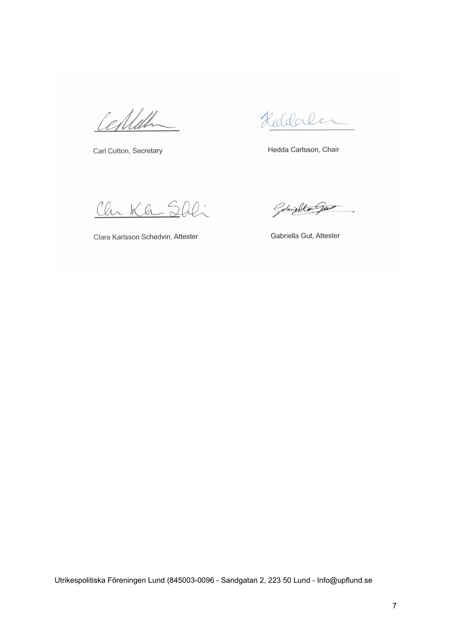Certiff

Carl Cotton, Secretary

Hiddaler

Hedda Carlsson, Chair

Chr Kh

Clara Karlsson Schedvin, Attester

Gelijkto gas

Gabriella Gut, Attester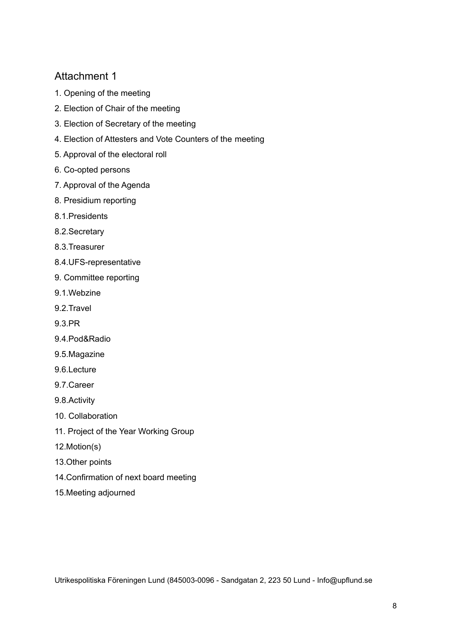# Attachment 1

- 1. Opening of the meeting
- 2. Election of Chair of the meeting
- 3. Election of Secretary of the meeting
- 4. Election of Attesters and Vote Counters of the meeting
- 5. Approval of the electoral roll
- 6. Co-opted persons
- 7. Approval of the Agenda
- 8. Presidium reporting
- 8.1.Presidents
- 8.2.Secretary
- 8.3.Treasurer
- 8.4.UFS-representative
- 9. Committee reporting
- 9.1.Webzine
- 9.2.Travel
- 9.3.PR
- 9.4.Pod&Radio
- 9.5.Magazine
- 9.6.Lecture
- 9.7.Career
- 9.8.Activity
- 10. Collaboration
- 11. Project of the Year Working Group
- 12.Motion(s)
- 13.Other points
- 14.Confirmation of next board meeting
- 15.Meeting adjourned